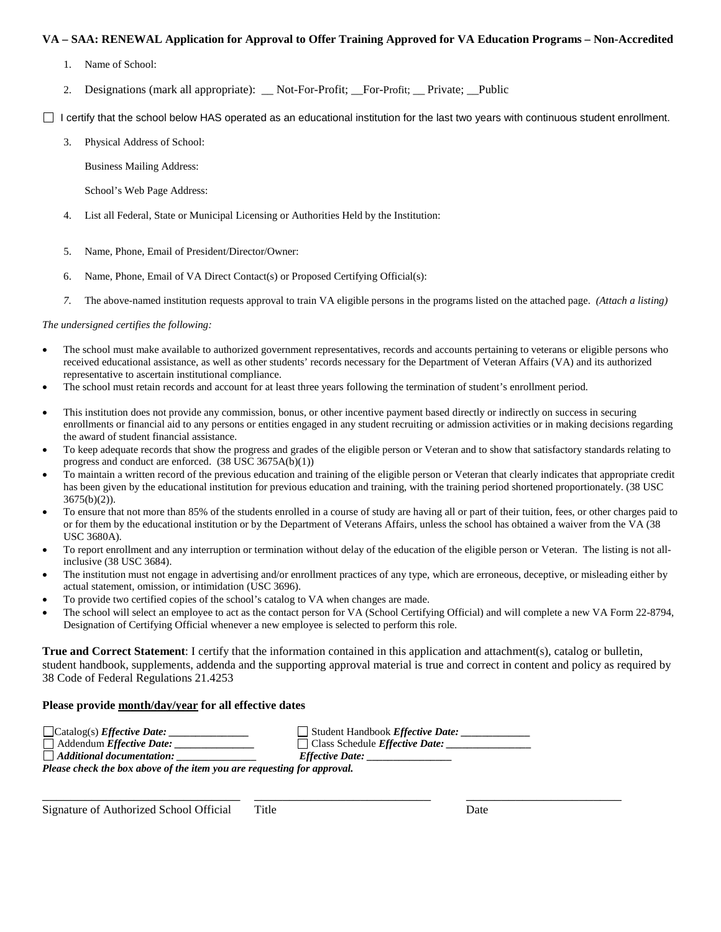## **VA – SAA: RENEWAL Application for Approval to Offer Training Approved for VA Education Programs – Non-Accredited**

- 1. Name of School:
- 2. Designations (mark all appropriate): \_\_ Not-For-Profit; \_\_For-Profit; \_\_ Private; \_\_Public

 $\Box$  I certify that the school below HAS operated as an educational institution for the last two years with continuous student enrollment.

3. Physical Address of School:

Business Mailing Address:

- School's Web Page Address:
- 4. List all Federal, State or Municipal Licensing or Authorities Held by the Institution:
- 5. Name, Phone, Email of President/Director/Owner:
- 6. Name, Phone, Email of VA Direct Contact(s) or Proposed Certifying Official(s):
- *7.* The above-named institution requests approval to train VA eligible persons in the programs listed on the attached page. *(Attach a listing)*

#### *The undersigned certifies the following:*

- The school must make available to authorized government representatives, records and accounts pertaining to veterans or eligible persons who received educational assistance, as well as other students' records necessary for the Department of Veteran Affairs (VA) and its authorized representative to ascertain institutional compliance.
- The school must retain records and account for at least three years following the termination of student's enrollment period.
- This institution does not provide any commission, bonus, or other incentive payment based directly or indirectly on success in securing enrollments or financial aid to any persons or entities engaged in any student recruiting or admission activities or in making decisions regarding the award of student financial assistance.
- To keep adequate records that show the progress and grades of the eligible person or Veteran and to show that satisfactory standards relating to progress and conduct are enforced. (38 USC 3675A(b)(1))
- To maintain a written record of the previous education and training of the eligible person or Veteran that clearly indicates that appropriate credit has been given by the educational institution for previous education and training, with the training period shortened proportionately. (38 USC  $3675(b)(2)$ ).
- To ensure that not more than 85% of the students enrolled in a course of study are having all or part of their tuition, fees, or other charges paid to or for them by the educational institution or by the Department of Veterans Affairs, unless the school has obtained a waiver from the VA (38 USC 3680A).
- To report enrollment and any interruption or termination without delay of the education of the eligible person or Veteran. The listing is not allinclusive (38 USC 3684).
- The institution must not engage in advertising and/or enrollment practices of any type, which are erroneous, deceptive, or misleading either by actual statement, omission, or intimidation (USC 3696).
- To provide two certified copies of the school's catalog to VA when changes are made.
- The school will select an employee to act as the contact person for VA (School Certifying Official) and will complete a new VA Form 22-8794, Designation of Certifying Official whenever a new employee is selected to perform this role.

**True and Correct Statement**: I certify that the information contained in this application and attachment(s), catalog or bulletin, student handbook, supplements, addenda and the supporting approval material is true and correct in content and policy as required by 38 Code of Federal Regulations 21.4253

\_\_\_\_\_\_\_\_\_\_\_\_\_\_\_\_\_\_\_\_\_\_\_\_\_\_\_\_ \_\_\_\_\_\_\_\_\_\_\_\_\_\_\_\_\_\_\_\_\_\_\_\_\_ \_\_\_\_\_\_\_\_\_\_\_\_\_\_\_\_\_\_\_\_\_\_

## **Please provide month/day/year for all effective dates**

| $\Box$ Catalog(s) <i>Effective Date:</i> | $\Box$ Student Handbook <i>Effective Date:</i> |
|------------------------------------------|------------------------------------------------|
| $\Box$ Addendum <i>Effective Date:</i>   | $\Box$ Class Schedule <i>Effective Date:</i>   |
| $\Box$ Additional documentation:         | <i><b>Effective Date:</b></i>                  |

*Please check the box above of the item you are requesting for approval.*

Signature of Authorized School Official Title Date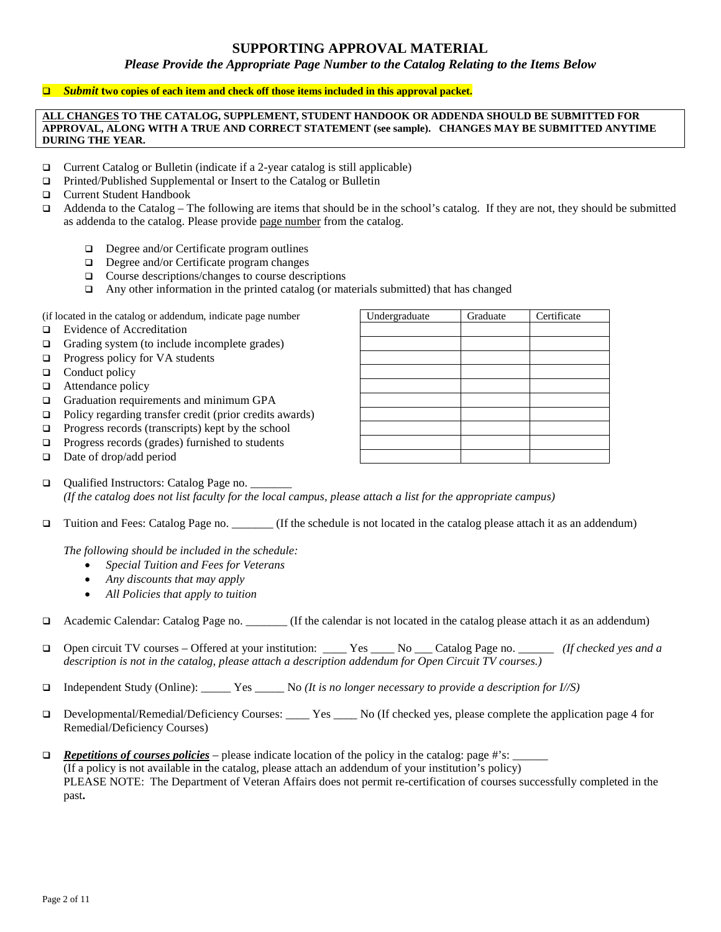## **SUPPORTING APPROVAL MATERIAL**

*Please Provide the Appropriate Page Number to the Catalog Relating to the Items Below*

#### *<u>D* Submit two copies of each item and check off those items included in this approval packet.</u>

#### **ALL CHANGES TO THE CATALOG, SUPPLEMENT, STUDENT HANDOOK OR ADDENDA SHOULD BE SUBMITTED FOR APPROVAL, ALONG WITH A TRUE AND CORRECT STATEMENT (see sample). CHANGES MAY BE SUBMITTED ANYTIME DURING THE YEAR.**

- □ Current Catalog or Bulletin (indicate if a 2-year catalog is still applicable)
- □ Printed/Published Supplemental or Insert to the Catalog or Bulletin
- Current Student Handbook
- $\Box$  Addenda to the Catalog The following are items that should be in the school's catalog. If they are not, they should be submitted as addenda to the catalog. Please provide page number from the catalog.
	- $\Box$  Degree and/or Certificate program outlines
	- Degree and/or Certificate program changes
	- $\Box$  Course descriptions/changes to course descriptions
	- $\Box$  Any other information in the printed catalog (or materials submitted) that has changed

(if located in the catalog or addendum, indicate page number Undergraduate Graduate Certificate

- □ Evidence of Accreditation
- Grading system (to include incomplete grades)
- $\Box$  Progress policy for VA students
- $\Box$  Conduct policy
- □ Attendance policy
- Graduation requirements and minimum GPA
- $\Box$  Policy regarding transfer credit (prior credits awards)
- $\Box$  Progress records (transcripts) kept by the school
- $\Box$  Progress records (grades) furnished to students
- $\Box$  Date of drop/add period
- Qualified Instructors: Catalog Page no. \_\_\_\_\_\_\_ *(If the catalog does not list faculty for the local campus, please attach a list for the appropriate campus)*
- Tuition and Fees: Catalog Page no. \_\_\_\_\_\_\_ (If the schedule is not located in the catalog please attach it as an addendum)

*The following should be included in the schedule:*

- *Special Tuition and Fees for Veterans*
- *Any discounts that may apply*
- *All Policies that apply to tuition*
- Academic Calendar: Catalog Page no. \_\_\_\_\_\_\_ (If the calendar is not located in the catalog please attach it as an addendum)
- Open circuit TV courses Offered at your institution: \_\_\_\_ Yes \_\_\_\_ No \_\_\_ Catalog Page no. \_\_\_\_\_\_ *(If checked yes and a description is not in the catalog, please attach a description addendum for Open Circuit TV courses.)*
- Independent Study (Online): \_\_\_\_\_ Yes \_\_\_\_\_ No *(It is no longer necessary to provide a description for I//S)*
- Developmental/Remedial/Deficiency Courses: \_\_\_\_ Yes \_\_\_\_ No (If checked yes, please complete the application page 4 for Remedial/Deficiency Courses)
- *Repetitions of courses policies* please indicate location of the policy in the catalog: page #'s: \_\_\_\_\_\_ (If a policy is not available in the catalog, please attach an addendum of your institution's policy) PLEASE NOTE: The Department of Veteran Affairs does not permit re-certification of courses successfully completed in the past**.**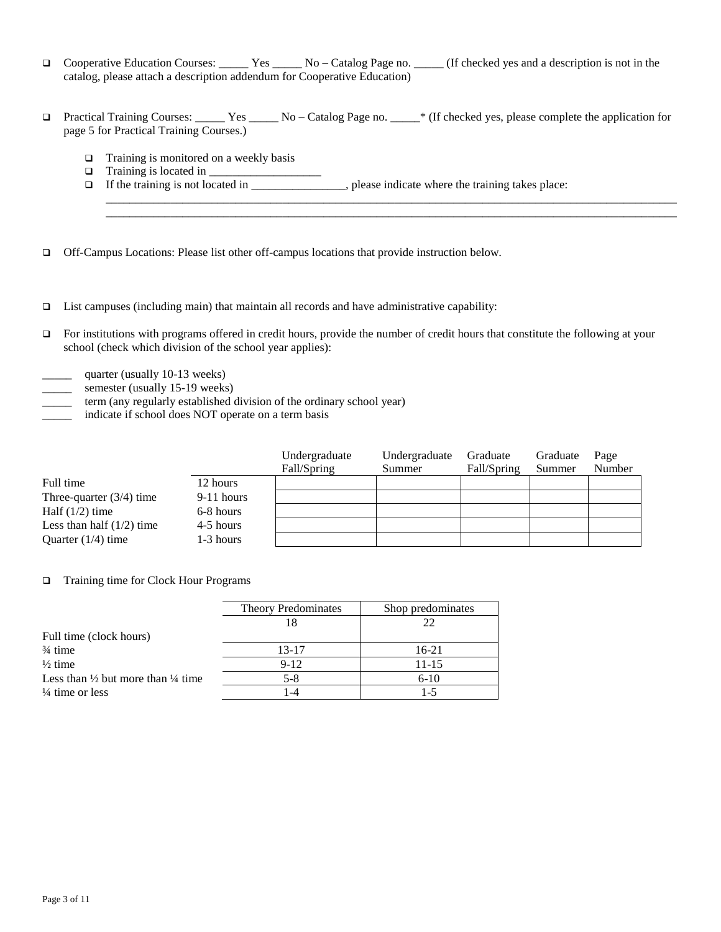- □ Cooperative Education Courses: \_\_\_\_\_ Yes \_\_\_\_\_ No Catalog Page no. \_\_\_\_ (If checked yes and a description is not in the catalog, please attach a description addendum for Cooperative Education)
- Practical Training Courses: \_\_\_\_\_ Yes \_\_\_\_\_ No Catalog Page no. \_\_\_\_\_\* (If checked yes, please complete the application for page 5 for Practical Training Courses.)

 $\_$  ,  $\_$  ,  $\_$  ,  $\_$  ,  $\_$  ,  $\_$  ,  $\_$  ,  $\_$  ,  $\_$  ,  $\_$  ,  $\_$  ,  $\_$  ,  $\_$  ,  $\_$  ,  $\_$  ,  $\_$  ,  $\_$  ,  $\_$  ,  $\_$  ,  $\_$  ,  $\_$  ,  $\_$  ,  $\_$  ,  $\_$  ,  $\_$  ,  $\_$  ,  $\_$  ,  $\_$  ,  $\_$  ,  $\_$  ,  $\_$  ,  $\_$  ,  $\_$  ,  $\_$  ,  $\_$  ,  $\_$  ,  $\_$  ,  $\_$  ,  $\_$  ,  $\_$  ,  $\_$  ,  $\_$  ,  $\_$  ,  $\_$  ,  $\_$  ,  $\_$  ,  $\_$  ,  $\_$  ,  $\_$  ,  $\_$  ,  $\_$  ,  $\_$  ,  $\_$  ,  $\_$  ,  $\_$  ,  $\_$  ,  $\_$  ,  $\_$  ,  $\_$  ,  $\_$  ,  $\_$  ,  $\_$  ,  $\_$  ,  $\_$  ,  $\_$  ,  $\_$  ,  $\_$  ,  $\_$  ,  $\_$  ,  $\_$  ,  $\_$  ,  $\_$  ,  $\_$  ,  $\_$  ,

- $\Box$  Training is monitored on a weekly basis
- $\Box$  Training is located in  $\Box$
- If the training is not located in \_\_\_\_\_\_\_\_\_\_\_\_\_\_\_\_, please indicate where the training takes place:

Off-Campus Locations: Please list other off-campus locations that provide instruction below.

- $\Box$  List campuses (including main) that maintain all records and have administrative capability:
- $\Box$  For institutions with programs offered in credit hours, provide the number of credit hours that constitute the following at your school (check which division of the school year applies):
- quarter (usually 10-13 weeks)
- semester (usually 15-19 weeks)
- term (any regularly established division of the ordinary school year)
- indicate if school does NOT operate on a term basis

|                             |              | Undergraduate<br>Fall/Spring | Undergraduate<br>Summer | Graduate<br>Fall/Spring | Graduate<br>Summer | Page<br>Number |
|-----------------------------|--------------|------------------------------|-------------------------|-------------------------|--------------------|----------------|
| Full time                   | 12 hours     |                              |                         |                         |                    |                |
| Three-quarter $(3/4)$ time  | $9-11$ hours |                              |                         |                         |                    |                |
| Half $(1/2)$ time           | 6-8 hours    |                              |                         |                         |                    |                |
| Less than half $(1/2)$ time | 4-5 hours    |                              |                         |                         |                    |                |
| Quarter $(1/4)$ time        | 1-3 hours    |                              |                         |                         |                    |                |

#### □ Training time for Clock Hour Programs

|                                                          | <b>Theory Predominates</b> | Shop predominates |  |  |
|----------------------------------------------------------|----------------------------|-------------------|--|--|
|                                                          |                            | 22                |  |  |
| Full time (clock hours)                                  |                            |                   |  |  |
| $\frac{3}{4}$ time                                       | $13 - 17$                  | $16-21$           |  |  |
| $\frac{1}{2}$ time                                       | $9-12$                     | $11 - 15$         |  |  |
| Less than $\frac{1}{2}$ but more than $\frac{1}{4}$ time | $5-8$                      | $6 - 10$          |  |  |
| $\frac{1}{4}$ time or less                               | 1-4                        | 1-5               |  |  |
|                                                          |                            |                   |  |  |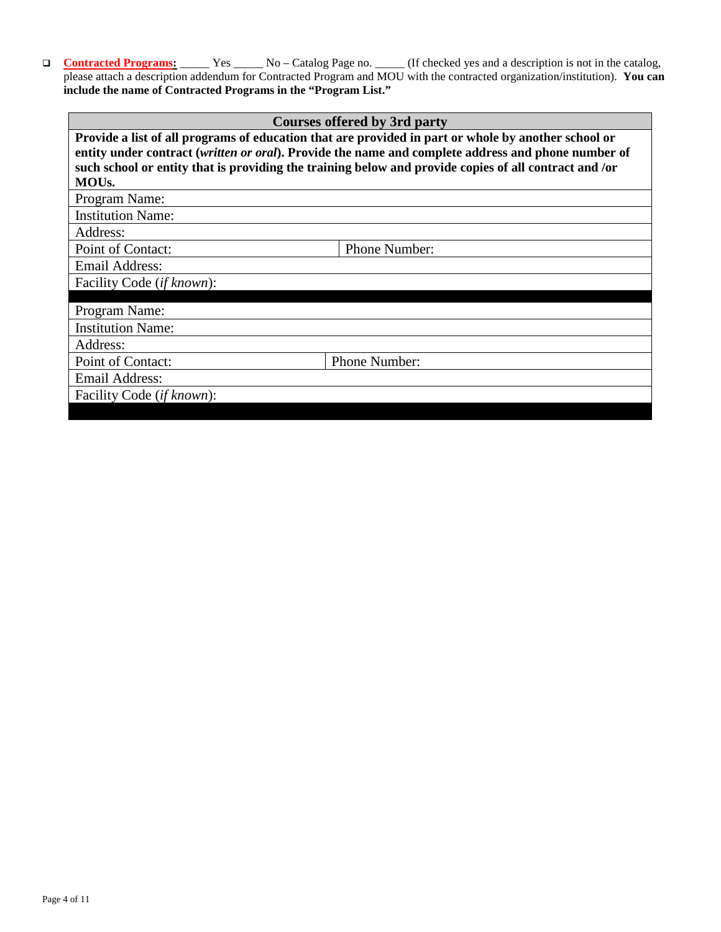□ **Contracted Programs:** Yes \_\_\_\_\_ No – Catalog Page no. \_\_\_\_\_ (If checked yes and a description is not in the catalog, please attach a description addendum for Contracted Program and MOU with the contracted organization/institution). **You can include the name of Contracted Programs in the "Program List."**

## **Courses offered by 3rd party**

| Provide a list of all programs of education that are provided in part or whole by another school or<br>entity under contract (written or oral). Provide the name and complete address and phone number of |               |  |  |  |
|-----------------------------------------------------------------------------------------------------------------------------------------------------------------------------------------------------------|---------------|--|--|--|
| such school or entity that is providing the training below and provide copies of all contract and /or                                                                                                     |               |  |  |  |
| MOU <sub>s</sub> .                                                                                                                                                                                        |               |  |  |  |
| Program Name:                                                                                                                                                                                             |               |  |  |  |
| <b>Institution Name:</b>                                                                                                                                                                                  |               |  |  |  |
| Address:                                                                                                                                                                                                  |               |  |  |  |
| Point of Contact:                                                                                                                                                                                         | Phone Number: |  |  |  |
| Email Address:                                                                                                                                                                                            |               |  |  |  |
| Facility Code (if known):                                                                                                                                                                                 |               |  |  |  |
|                                                                                                                                                                                                           |               |  |  |  |
| Program Name:                                                                                                                                                                                             |               |  |  |  |
| <b>Institution Name:</b>                                                                                                                                                                                  |               |  |  |  |
| Address:                                                                                                                                                                                                  |               |  |  |  |
| Point of Contact:                                                                                                                                                                                         | Phone Number: |  |  |  |
| Email Address:                                                                                                                                                                                            |               |  |  |  |
| Facility Code <i>(if known)</i> :                                                                                                                                                                         |               |  |  |  |
|                                                                                                                                                                                                           |               |  |  |  |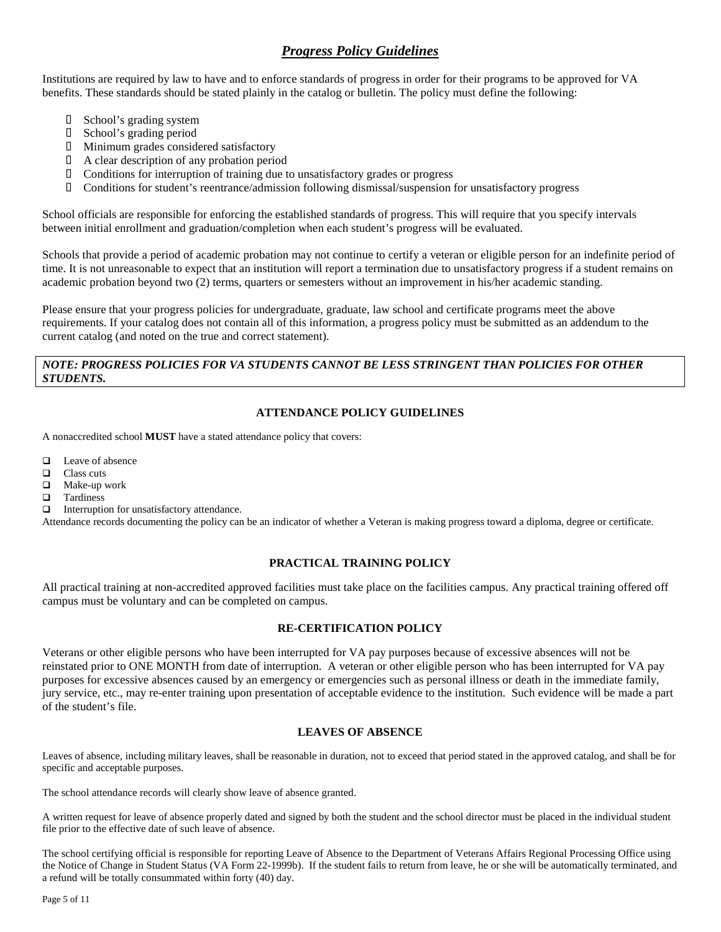## *Progress Policy Guidelines*

Institutions are required by law to have and to enforce standards of progress in order for their programs to be approved for VA benefits. These standards should be stated plainly in the catalog or bulletin. The policy must define the following:

- □ School's grading system
- **D** School's grading period
- � Minimum grades considered satisfactory
- � A clear description of any probation period
- $\Box$  Conditions for interruption of training due to unsatisfactory grades or progress
- � Conditions for student's reentrance/admission following dismissal/suspension for unsatisfactory progress

School officials are responsible for enforcing the established standards of progress. This will require that you specify intervals between initial enrollment and graduation/completion when each student's progress will be evaluated.

Schools that provide a period of academic probation may not continue to certify a veteran or eligible person for an indefinite period of time. It is not unreasonable to expect that an institution will report a termination due to unsatisfactory progress if a student remains on academic probation beyond two (2) terms, quarters or semesters without an improvement in his/her academic standing.

Please ensure that your progress policies for undergraduate, graduate, law school and certificate programs meet the above requirements. If your catalog does not contain all of this information, a progress policy must be submitted as an addendum to the current catalog (and noted on the true and correct statement).

## *NOTE: PROGRESS POLICIES FOR VA STUDENTS CANNOT BE LESS STRINGENT THAN POLICIES FOR OTHER STUDENTS.*

### **ATTENDANCE POLICY GUIDELINES**

A nonaccredited school **MUST** have a stated attendance policy that covers:

- $\Box$  Leave of absence
- Class cuts
- Make-up work
- $\Box$  Tardiness
- $\Box$  Interruption for unsatisfactory attendance.

Attendance records documenting the policy can be an indicator of whether a Veteran is making progress toward a diploma, degree or certificate.

## **PRACTICAL TRAINING POLICY**

All practical training at non-accredited approved facilities must take place on the facilities campus. Any practical training offered off campus must be voluntary and can be completed on campus.

## **RE-CERTIFICATION POLICY**

Veterans or other eligible persons who have been interrupted for VA pay purposes because of excessive absences will not be reinstated prior to ONE MONTH from date of interruption. A veteran or other eligible person who has been interrupted for VA pay purposes for excessive absences caused by an emergency or emergencies such as personal illness or death in the immediate family, jury service, etc., may re-enter training upon presentation of acceptable evidence to the institution. Such evidence will be made a part of the student's file.

## **LEAVES OF ABSENCE**

Leaves of absence, including military leaves, shall be reasonable in duration, not to exceed that period stated in the approved catalog, and shall be for specific and acceptable purposes.

The school attendance records will clearly show leave of absence granted.

A written request for leave of absence properly dated and signed by both the student and the school director must be placed in the individual student file prior to the effective date of such leave of absence.

The school certifying official is responsible for reporting Leave of Absence to the Department of Veterans Affairs Regional Processing Office using the Notice of Change in Student Status (VA Form 22-1999b). If the student fails to return from leave, he or she will be automatically terminated, and a refund will be totally consummated within forty (40) day.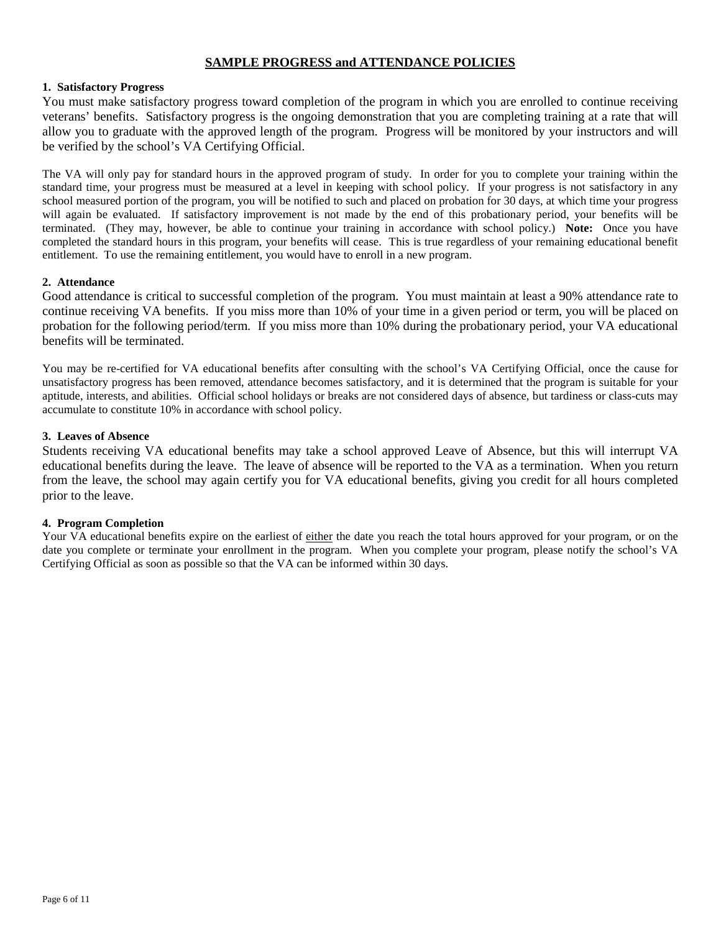## **SAMPLE PROGRESS and ATTENDANCE POLICIES**

## **1. Satisfactory Progress**

You must make satisfactory progress toward completion of the program in which you are enrolled to continue receiving veterans' benefits. Satisfactory progress is the ongoing demonstration that you are completing training at a rate that will allow you to graduate with the approved length of the program. Progress will be monitored by your instructors and will be verified by the school's VA Certifying Official.

The VA will only pay for standard hours in the approved program of study. In order for you to complete your training within the standard time, your progress must be measured at a level in keeping with school policy. If your progress is not satisfactory in any school measured portion of the program, you will be notified to such and placed on probation for 30 days, at which time your progress will again be evaluated. If satisfactory improvement is not made by the end of this probationary period, your benefits will be terminated. (They may, however, be able to continue your training in accordance with school policy.) **Note:** Once you have completed the standard hours in this program, your benefits will cease. This is true regardless of your remaining educational benefit entitlement. To use the remaining entitlement, you would have to enroll in a new program.

## **2. Attendance**

Good attendance is critical to successful completion of the program. You must maintain at least a 90% attendance rate to continue receiving VA benefits. If you miss more than 10% of your time in a given period or term, you will be placed on probation for the following period/term. If you miss more than 10% during the probationary period, your VA educational benefits will be terminated.

You may be re-certified for VA educational benefits after consulting with the school's VA Certifying Official, once the cause for unsatisfactory progress has been removed, attendance becomes satisfactory, and it is determined that the program is suitable for your aptitude, interests, and abilities. Official school holidays or breaks are not considered days of absence, but tardiness or class-cuts may accumulate to constitute 10% in accordance with school policy.

## **3. Leaves of Absence**

Students receiving VA educational benefits may take a school approved Leave of Absence, but this will interrupt VA educational benefits during the leave. The leave of absence will be reported to the VA as a termination. When you return from the leave, the school may again certify you for VA educational benefits, giving you credit for all hours completed prior to the leave.

## **4. Program Completion**

Your VA educational benefits expire on the earliest of either the date you reach the total hours approved for your program, or on the date you complete or terminate your enrollment in the program. When you complete your program, please notify the school's VA Certifying Official as soon as possible so that the VA can be informed within 30 days.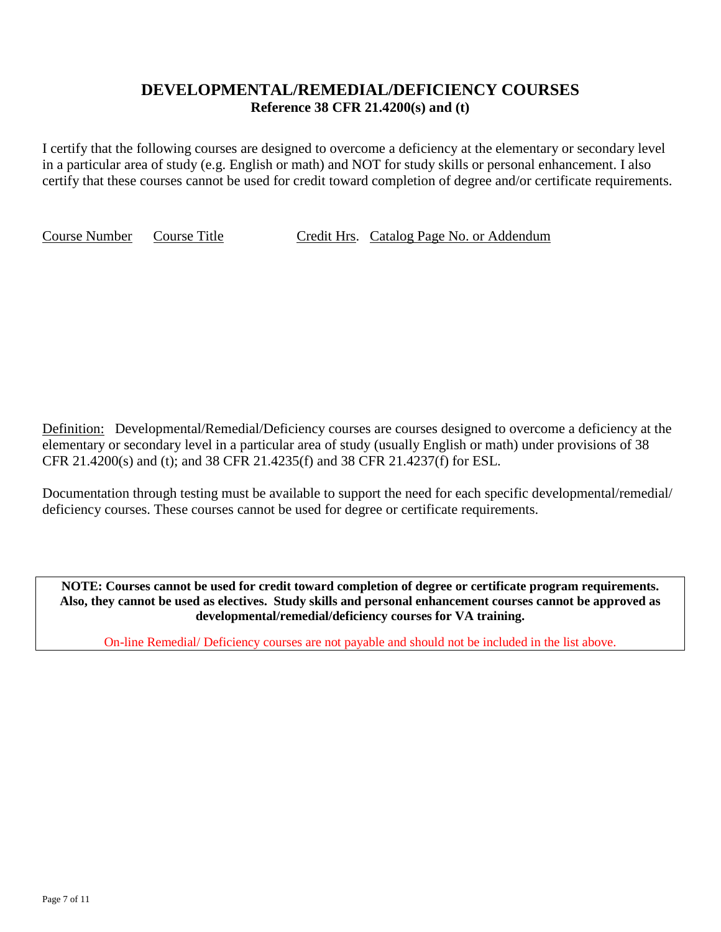# **DEVELOPMENTAL/REMEDIAL/DEFICIENCY COURSES Reference 38 CFR 21.4200(s) and (t)**

I certify that the following courses are designed to overcome a deficiency at the elementary or secondary level in a particular area of study (e.g. English or math) and NOT for study skills or personal enhancement. I also certify that these courses cannot be used for credit toward completion of degree and/or certificate requirements.

Course Number Course Title Credit Hrs. Catalog Page No. or Addendum

Definition: Developmental/Remedial/Deficiency courses are courses designed to overcome a deficiency at the elementary or secondary level in a particular area of study (usually English or math) under provisions of 38 CFR 21.4200(s) and (t); and 38 CFR 21.4235(f) and 38 CFR 21.4237(f) for ESL.

Documentation through testing must be available to support the need for each specific developmental/remedial/ deficiency courses. These courses cannot be used for degree or certificate requirements.

**NOTE: Courses cannot be used for credit toward completion of degree or certificate program requirements. Also, they cannot be used as electives. Study skills and personal enhancement courses cannot be approved as developmental/remedial/deficiency courses for VA training.**

On-line Remedial/ Deficiency courses are not payable and should not be included in the list above.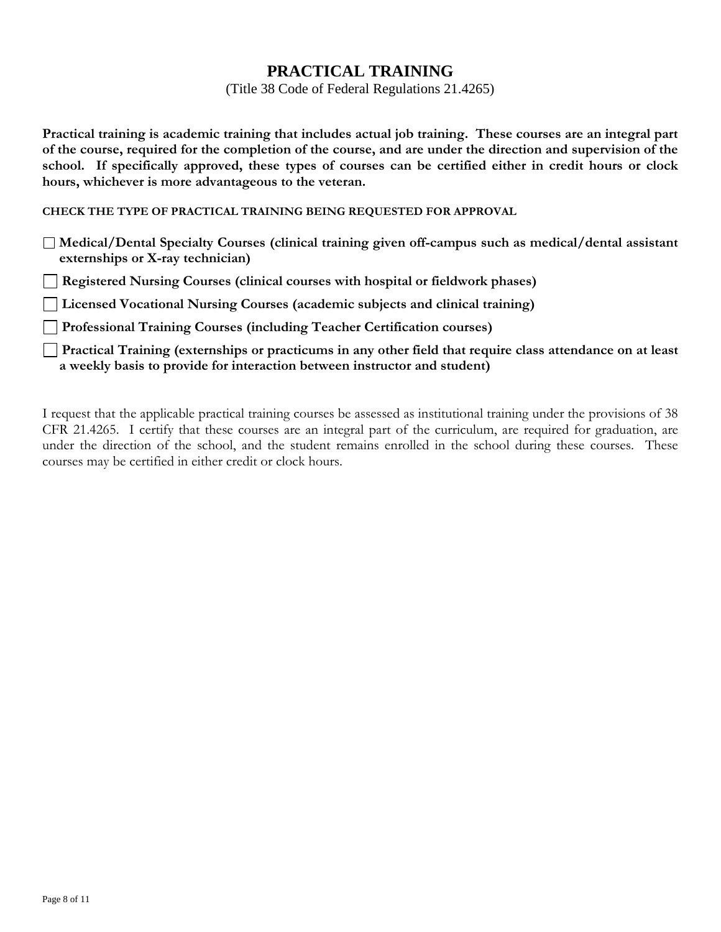# **PRACTICAL TRAINING**

(Title 38 Code of Federal Regulations 21.4265)

**Practical training is academic training that includes actual job training. These courses are an integral part of the course, required for the completion of the course, and are under the direction and supervision of the school. If specifically approved, these types of courses can be certified either in credit hours or clock hours, whichever is more advantageous to the veteran.**

**CHECK THE TYPE OF PRACTICAL TRAINING BEING REQUESTED FOR APPROVAL**

**Medical/Dental Specialty Courses (clinical training given off-campus such as medical/dental assistant externships or X-ray technician)**

**Registered Nursing Courses (clinical courses with hospital or fieldwork phases)**

**Licensed Vocational Nursing Courses (academic subjects and clinical training)**

**Professional Training Courses (including Teacher Certification courses)**

**Practical Training (externships or practicums in any other field that require class attendance on at least a weekly basis to provide for interaction between instructor and student)**

I request that the applicable practical training courses be assessed as institutional training under the provisions of 38 CFR 21.4265. I certify that these courses are an integral part of the curriculum, are required for graduation, are under the direction of the school, and the student remains enrolled in the school during these courses. These courses may be certified in either credit or clock hours.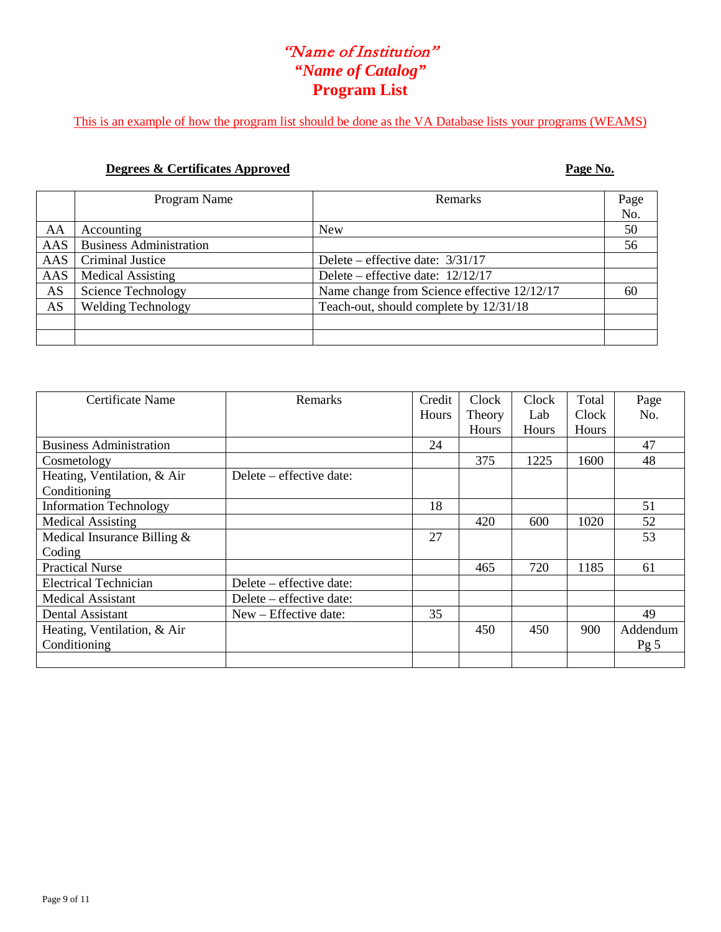# "Name of Institution" *"Name of Catalog"* **Program List**

This is an example of how the program list should be done as the VA Database lists your programs (WEAMS)

## **Degrees & Certificates Approved Page No.**

|     | Program Name                   | <b>Remarks</b>                              | Page |
|-----|--------------------------------|---------------------------------------------|------|
|     |                                |                                             | No.  |
| AA  | Accounting                     | <b>New</b>                                  | 50   |
| AAS | <b>Business Administration</b> |                                             | 56   |
| AAS | Criminal Justice               | Delete – effective date: $3/31/17$          |      |
| AAS | <b>Medical Assisting</b>       | Delete – effective date: $12/12/17$         |      |
| AS  | <b>Science Technology</b>      | Name change from Science effective 12/12/17 | 60   |
| AS  | <b>Welding Technology</b>      | Teach-out, should complete by 12/31/18      |      |
|     |                                |                                             |      |
|     |                                |                                             |      |

| Certificate Name               | Remarks                  | Credit       | Clock        | Clock | Total | Page            |
|--------------------------------|--------------------------|--------------|--------------|-------|-------|-----------------|
|                                |                          | <b>Hours</b> | Theory       | Lab   | Clock | No.             |
|                                |                          |              | <b>Hours</b> | Hours | Hours |                 |
| <b>Business Administration</b> |                          | 24           |              |       |       | 47              |
| Cosmetology                    |                          |              | 375          | 1225  | 1600  | 48              |
| Heating, Ventilation, & Air    | Delete – effective date: |              |              |       |       |                 |
| Conditioning                   |                          |              |              |       |       |                 |
| <b>Information Technology</b>  |                          | 18           |              |       |       | 51              |
| <b>Medical Assisting</b>       |                          |              | 420          | 600   | 1020  | 52              |
| Medical Insurance Billing &    |                          | 27           |              |       |       | 53              |
| Coding                         |                          |              |              |       |       |                 |
| <b>Practical Nurse</b>         |                          |              | 465          | 720   | 1185  | 61              |
| <b>Electrical Technician</b>   | Delete – effective date: |              |              |       |       |                 |
| <b>Medical Assistant</b>       | Delete – effective date: |              |              |       |       |                 |
| Dental Assistant               | New – Effective date:    | 35           |              |       |       | 49              |
| Heating, Ventilation, & Air    |                          |              | 450          | 450   | 900   | Addendum        |
| Conditioning                   |                          |              |              |       |       | Pg <sub>5</sub> |
|                                |                          |              |              |       |       |                 |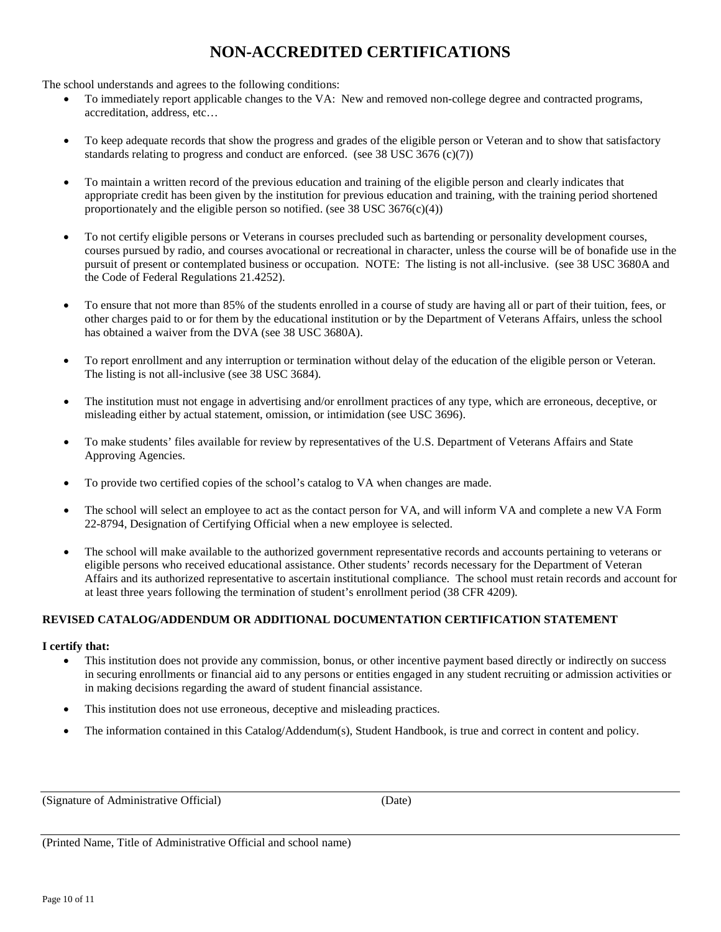# **NON-ACCREDITED CERTIFICATIONS**

The school understands and agrees to the following conditions:

- To immediately report applicable changes to the VA: New and removed non-college degree and contracted programs, accreditation, address, etc…
- To keep adequate records that show the progress and grades of the eligible person or Veteran and to show that satisfactory standards relating to progress and conduct are enforced. (see 38 USC 3676 (c)(7))
- To maintain a written record of the previous education and training of the eligible person and clearly indicates that appropriate credit has been given by the institution for previous education and training, with the training period shortened proportionately and the eligible person so notified. (see  $38 \text{ USC } 3676(c)(4)$ )
- To not certify eligible persons or Veterans in courses precluded such as bartending or personality development courses, courses pursued by radio, and courses avocational or recreational in character, unless the course will be of bonafide use in the pursuit of present or contemplated business or occupation. NOTE: The listing is not all-inclusive. (see 38 USC 3680A and the Code of Federal Regulations 21.4252).
- To ensure that not more than 85% of the students enrolled in a course of study are having all or part of their tuition, fees, or other charges paid to or for them by the educational institution or by the Department of Veterans Affairs, unless the school has obtained a waiver from the DVA (see 38 USC 3680A).
- To report enrollment and any interruption or termination without delay of the education of the eligible person or Veteran. The listing is not all-inclusive (see 38 USC 3684).
- The institution must not engage in advertising and/or enrollment practices of any type, which are erroneous, deceptive, or misleading either by actual statement, omission, or intimidation (see USC 3696).
- To make students' files available for review by representatives of the U.S. Department of Veterans Affairs and State Approving Agencies.
- To provide two certified copies of the school's catalog to VA when changes are made.
- The school will select an employee to act as the contact person for VA, and will inform VA and complete a new VA Form 22-8794, Designation of Certifying Official when a new employee is selected.
- The school will make available to the authorized government representative records and accounts pertaining to veterans or eligible persons who received educational assistance. Other students' records necessary for the Department of Veteran Affairs and its authorized representative to ascertain institutional compliance. The school must retain records and account for at least three years following the termination of student's enrollment period (38 CFR 4209).

## **REVISED CATALOG/ADDENDUM OR ADDITIONAL DOCUMENTATION CERTIFICATION STATEMENT**

## **I certify that:**

- This institution does not provide any commission, bonus, or other incentive payment based directly or indirectly on success in securing enrollments or financial aid to any persons or entities engaged in any student recruiting or admission activities or in making decisions regarding the award of student financial assistance.
- This institution does not use erroneous, deceptive and misleading practices.
- The information contained in this Catalog/Addendum(s), Student Handbook, is true and correct in content and policy.

(Signature of Administrative Official) (Date)

(Printed Name, Title of Administrative Official and school name)